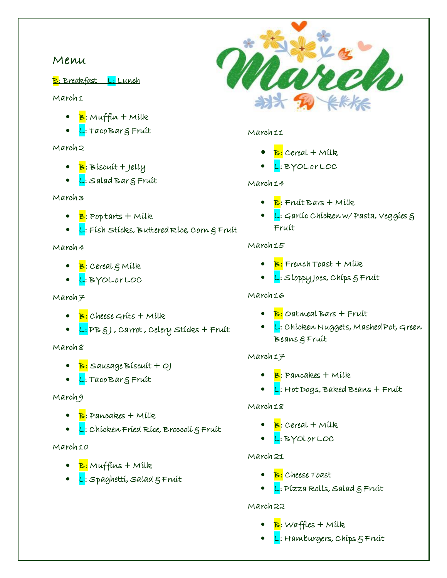# Menu

B: Breakfast L: Lunch

#### March 1

- $\bullet$   $\mathbf{B}$ : Muffin + Milk
- L: Taco Bar & Fruit

### March 2

- B: Biscuit + Jelly
- L: Salad Barg Fruit

### March 3

- $\mathbf{B}$ : Pop tarts + Milk
- L: Físh Stícks, Buttered Ríce, Corn & Fruit

### March 4

- <mark>B</mark>: Cereal § Mílk
- L: BYOL or LOC

#### $March7$

- B: Cheese Grits + Milk
- L: PB §J , Carrot , Celery Stícks + Fruit

# March 8

- B: Sausage Biscuit + OJ
- L: Taco Bar & Fruit

# March 9

- $\bullet$   $\mathbf{B}$ : Pancakes + Mílk
- <mark>L</mark>: Chícken Fríed Ríce, Broccolí g Fruit

#### March 10

- $\bullet$   $\mathbf{B}$ : Muffins + Milk
- L: Spaghetti, Salad & Fruit



### March 11

- $\bullet$   $\mathbf{B}$ : Cereal + Milk
- L: BYOL or LOC

# March 14

- $\bullet$   $\mathbf{B}$ : Fruit Bars + Milk.
- L: Garlic Chicken w/ Pasta, Veggies & Fruit

# March 15

- $\bullet$   $\mathbf{B}$ : French Toast + Milk
- L: Sloppy Joes, Chips & Fruit

# March 16

- $\bullet$   $\mathbf{B}$ : Oatmeal Bars + Fruit
- L: Chicken Nuggets, Mashed Pot, Green Beans & Fruit

# March 17

- $\bullet$   $\mathbf{B}$ : Pancakes  $+$  Milk
- <mark>L</mark>: Hot Dogs, Baked Beans + Fruit

# March 18

- $\bullet$   $\mathbf{B}$ : Cereal + Milk
- L: BYOl or LOC

# March 21

- B: Cheese Toast
- $\bullet$  L: Pízza Rolls, Salad  $\xi$  Fruit

# March 22

- $\bullet$   $\mathbf{B}$ : Waffles + Milk
- $\bullet$  L: Hamburgers, Chips  $\xi$  Fruit